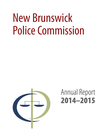# New Brunswick Police Commission



# Annual Report 2014–2015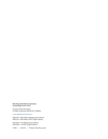#### **New Brunswick Police Commission Annual Report 2014–2015**

Province of New Brunswick PO 6000, Fredericton NB E3B 5H1 CANADA

[www.n](www.gnb.ca)bpolicecommission.ca

ISBN 978-1-4605-0959-3 (Bilingual print edition) ISBN 978-1-4605-0960-9 (PDF: English edition)

ISSN 0822-1774 (Bilingual print edition) ISSN 0822-1774 (PDF: English edition)

10595 | 2016.03 | Printed in New Brunswick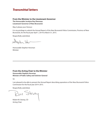### *Transmittal letters*

#### **From the Minister to the Lieutenant-Governor**

**The Honourable Jocelyne Roy Vienneau Lieutenant-Governor of New Brunswick**

May it please your Honour:

It is my privilege to submit the Annual Report of the New Brunswick Police Commission, Province of New Brunswick, for the fiscal year April 1, 2014 to March 31, 2015.

Respectfully submitted,

Stephen Har

Honourable Stephen Horsman Minister

#### **From the Acting Chair to the Minister Honourable Stephen Horsman Minister of Public Safety and Solicitor General**

Sir:

I am pleased to be able to present the Annual Report describing operations of the New Brunswick Police Commission for the fiscal year 2014–2015.

Respectfully submitted,

Janey 'm

Robert M. Stoney, CD Acting Chair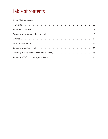### Table of contents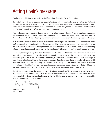### <span id="page-4-0"></span>Acting Chair's message

Fiscal year 2014–2015 was a very active period for the New Brunswick Police Commission.

Our main focus of effort has been on four specific fronts, namely: advocating for amendments to the *Police Act*; addressing the issue of 'adequacy of policing', championing the increased awareness of Post-Traumatic Stress Disorder in first responders; and participating in the annual police audit cycle with the Director of Crime Prevention and Policing Standards, with a focus on leave management processes.

Progress has been made on advancing the realization by all stakeholders that the *Police Act* requires amendments. We are hopeful that a formalized process will commence shortly, under the stewardship of the Department of Public Safety, which will facilitate an open, frank and constructive examination of various aspect of the *Police Act*.

Post-Traumatic Stress Disorder (PTSD) is an insidious and debilitating mental illness that has a preponderant impact on first responders. In keeping with the Commission's public awareness mandate, we have been championing the increased awareness of PTSD throughout the year in the form of panel discussions, seminars and supporting officers' personal initiative activities to gain further training as first-line responders for mental health awareness.

The concept of 'adequacy of policing' is not defined in the *Police Act* and it has become necessary to commence an outreach program to various municipalities and regional police boards to explain the Commission's role in assessing whether a specific police force is meeting a community's needs in an adequate fashion. As well, in the hope of providing more intellectual rigor to the concept of 'adequacy', the Commission has embarked on discussions with the New Brunswick academic community to commence a research project on this subject, with a view to the creation of an 'adequacy algorithm' that would encapsulate both the objective and subjective criteria that would apply to policing in general and policing within the context of a particular community within the province.

Our mission is "to safeguard the public interest in New Brunswick policing". It is a task we strive to achieve every day, and through our efforts in 2014–2015, we at the New Brunswick Police Commission believe that the public confidence in New Brunswick's police forces and the individual men and women who police our communities remains strong and continues to grow.

Gey

Robert M. Stoney, CD Acting Chair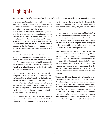## <span id="page-5-0"></span>**Highlights**

#### **During the 2014–2015 fiscal year, the New Brunswick Police Commission focused on these strategic priorities:**

As a whole, the Commission met on three separate occasions in 2014–2015; in Miramichi on June 5–6, 2014, at a Commission information and planning session in Keswick on October 2–3, 2014, and in Rothesay on February 9–10, 2015. All three events were highly successful, with the Miramichi and Rothesay events providing a convenient venue to meet with the Civic Authorities for the Miramichi, as well as with the Kennebecasis Regional Joint Board of Police Commissioners and Saint John Board of Police Commissioners. The session in Keswick provided an opportunity for the Commission to conduct a muchneeded review of its Mission, Values and to refresh its mandate.

Much of the Commission's focus this past year has been on its "adequacy of policing" and "community outreach" mandates. To this end, numerous briefings and informational sessions were held with various police forces around the province, with the Civic Authorities in Fredericton and Saint John, and with the New Brunswick Association of Chiefs of Police.

The outgoing Executive Director, Pierre Beaudoin and the Acting Vice-Chair, Ronald Cormier, also attended the annual conference of the Canadian Association for Civilian Oversight of Law Enforcement (CACOLE), in Victoria, BC in May of 2014, and the acting Chair attended a one day conference of the Canadian Association for Police Governance (CAPG), in Halifax, in August of 2014. Both conferences provided excellent opportunities for networking with other likeminded entities across the country.

Lastly, the incoming Executive Director, Steve Roberge, attended a two day planning session for CACOLE's, 2015 Conference in Ottawa in October of 2014 whereby the Commission championed the development of a panel discussion and presentation with regards to Post Traumatic Stress Disorder (PTSD) that will be held on May 13, 2015.

In partnership with the Department of Public Safety, Director of Crime Prevention and Policing Standards, the Commission participated in the annual review/audit of all municipal and regional police forces in the province. Our focus this year was on the process of recording and tracking leave entitlement and administration amongst officers in each of the various police forces.

One of the Commission's themes this year has been the promotion of awareness and understanding of PTSD and how it has an impact on first responders. To that end, the Commission hosted a PTSD Awareness Seminar on January 19, 2015 at Crandall University in Moncton, and invited representatives from law enforcement, the fire marshals, paramedics and ambulance services, the coroner's office, family support services, correctional officers, probation, victim services and funeral directors to attend.

Throughout this reporting period, the Commission has been operating with its leadership in an "Acting" capacity. Upon the resignation of the previous Chair, Madame Ferguson-Mallet on March 31, 2014, the Vice-Chair, Robert M. Stoney, assumed the position, powers and duties of Acting Chair. He then appointed Commission member, Ronald Cormier as Acting Vice-Chair. The Government has been briefed on this issue on numerous occasions, yet the Commission, as of the date of this report still awaits substantive appointments for these positions.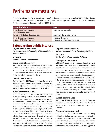### <span id="page-6-0"></span>Performance measures

While the New Brunswick Police Commission has not formally developed a strategy map for 2014–2015, the following table does provide a snap shot of how the Commission's mission "to safeguard the public interest in New Brunswick Policing" was executed through initiatives in 2014–2015.

| Safeguarding Public Interest                                                 | <b>Measures</b>                                                          |
|------------------------------------------------------------------------------|--------------------------------------------------------------------------|
| Promote increased understanding of the<br>Commission's mandate and role      | Number of outreach presentations                                         |
| Facilitate standardization of disciplinary decisions                         | Number of published arbitration decisions                                |
| Promote increased understanding and<br>prevention of PTSD in law enforcement | - Number of PTSD seminars<br>- Number of departments exposed to seminars |

### **Safeguarding public interest**

### **Objective of the measure**

*Promote increased understanding of the Commission's mandate and role.*

#### **Measure**

*Number of outreach presentations.*

### **Description of measure**

An outreach presentation is delivered to stakeholders, partners, civic authorities and/or law enforcement personnel describing the New Brunswick *Police Act* and the mandate and authorities of the New Brunswick Police Commission pursuant to the Act.

### **Overall performance**

During the 2014–2015 fiscal period the Commission delivered presentations to the City of Fredericton civic authority (2), the City of Miramichi civic authority, and police personnel of the Edmundston Police Force.

### **Why do we measure this?**

While the Commission's responsibilities and involvement in the disciplinary overview of New Brunswick police forces is becoming better known, the authorities granted to the Commission under the *Police Act* are not as wellknown nor understood. The Commission's mandate to examine any issue related to policing in all New Brunswick police jurisdictions (including the RCMP) is not understood by the police forces and much less by the civic authorities. A better understanding of the Commission's role by stakeholders, partners, civic authorities, and law enforcement can foster greater accountability to the public's interest. An increased number of these presentations results in an increase in the information available and a greater familiarity with the Commission.

### **Objective of the measure**

*Facilitate standardization of disciplinary decisions.*

#### **Measure**

*Number of published arbitration decisions.*

### **Description of measure**

Arbitrator's decisions of imposed disciplinary and corrective measures are public documents pursuant to the New Brunswick *Police Act*. As such, the decisions may be published to complement the Act's mandate to correct and educate the police population with respect to appropriate police conduct. Having the decisions published provides precedents for civic authorities, Chiefs of Police, police member representatives and arbitrators to evaluate the level of discipline that may arise from breaches of the *Code of Professional Conduct Regulation* under the New Brunswick *Police Act*. This availability helps to promote more consistency in disciplinary decisions thus fostering greater accountability to the public's interest.

### **Overall performance**

During the 2014–2015 fiscal period, 100% of the arbitration decisions rendered within New Brunswick were published to the New Brunswick Police Commission's web site.

### **Why do we measure this?**

A greater number of arbitration decisions being publically posted ensures a larger repertoire of situations to reference thus fostering more consistency in the administration of the disciplinary process. Consistency in the process contributes to an improvement in the public's confidence in the credibility of the disciplinary process.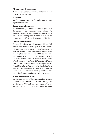### **Objective of the measure**

*Promote increased understanding and prevention of PTSD in law enforcement.*

#### **Measure**

*Number of PTSD seminars and the number of departments exposed to seminars.*

### **Description of measure**

Providing the largest number of seminars possible to the greatest number of organizations results in a greater exposure to the subject of Post-Traumatic Stress Disorder (PTSD) as well as the possibilities that exist to prevent its occurrence and facilitate the treatment of this illness.

### **Overall performance**

While the Commission was only able to provide one PTSD seminar to 60 attendees in fiscal year 2014–2015, interest in the seminar met with a large variety of representation from the Amherst Police Department, Atlantic Police Academy, Bathurst Police Force, BNPP Regional Police Force, Codiac RCMP, Coroners (DPS), Corrections (DPS), Court Services, Edmundston Police Force, NB Fire Marshal office, Fredericton Police Force, NB Association of Funeral Directors and Embalmers, Kennebecasis Regional Police Force, Military Police Regiment, Miramichi Police Force, NB Police Commission, Policing Services, Probation and Community Services, Sackville RCMP, Saint John Police Force, Sheriff Services and Woodstock Police Force.

### **Why do we measure this?**

An increased number of these presentations results in an increase in the information available and a greater familiarity with PTSD and its symptoms, prevention and treatment, all contributing to a reduction in the illness.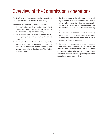### <span id="page-8-0"></span>Overview of the Commission's operations

The New Brunswick Police Commission has as its mission "To safeguard the public interest in NB Policing".

Role of the New Brunswick Police Commission:

- **1.** the investigation and determination of complaints by any person relating to the conduct of a member of a municipal or regional police force;
- **2.** the characterization and review of conduct, service or policy complaints relating to municipal or regional police forces;
- **3.** the investigation and determination of any matter relating to any aspect of policing in any area of the Province, either on its own motion, at the request of a board or council, or at the direction of the Minister of Public Safety;
- **4.** the determination of the adequacy of municipal, regional and Royal Canadian Mounted Police forces within the Province, and whether each municipality and the Province is discharging its responsibility for the maintenance of an adequate level of policing; and
- **5.** the ensuring of consistency in disciplinary dispositions through maintenance of a repository of disciplinary and corrective measures taken in response to *Police Act* breaches.

The Commission is comprised of three permanent full time employees reporting to the Chair of the Commission and was structured in 2014–2015 with six Commission members who are volunteers receiving nominal remuneration for the days they participated in Commission meetings or reviews.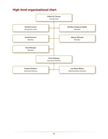### **High-level organizational chart**

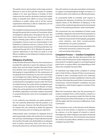The public's horror and revulsion at the tragic events in Moncton in June of 2014 and the murder of Canadian soldiers in St. Jean and Ottawa in October of 2014 underscores the need for all entities involved in public safety to redouble their efforts to ensure that public confidence in public safety, and in all the various organizations that keep us safe on a daily basis, are not only maintained, but bolstered.

The complaints resolution process has continued unabated through this period with a number of Commission-driven investigations taking place throughout the year. The trend noted in the Commission's 2013–2014 Annual Report whereby police officers subject to a *Police Act* investigation choose to opt-out of participation in the Settlement Conference process in favour of the more rigid and adversarial process of binding arbitration has continued through 2014–2015. Whether this speaks to systemic deficiencies in the *Police Act* itself, or in the officers' confidence in the Settlement Conference process remains to be seen.

#### **Adequacy of policing**

Under the New Brunswick *Police Act*, the Commission is provided the authority to assess the adequacy of each police force and the Royal Canadian Mounted Police and whether each municipality and the Province is discharging its responsibilities for the maintenance of an adequate level of policing. As such, the Commission can investigate any matter relating to any aspect of the policing of any area of the Province. The methodology for conducting this investigation may be under the format of a public hearing. The results of this investigation and/ or hearing are to be reported to the Minister of Public Safety who can be granted access to all files prepared and all exhibits, depositions and other evidence presented or acquired during the course of an investigation and/ or hearing.

A civic authority may eliminate any police position if the civic authority determines that the position is no longer necessary. However, the New Brunswick *Police Act* requires the civic authority to obtain the approval of the Commission prior to invoking any reductions.

Unfortunately, what constitutes an adequate level of policing generally resides with a police force to develop the necessary methodology to empirically demonstrate the true flow-through costs attributable to an adequate level of police resourcing. Until such time as New Brunswick police forces can demonstrate the true costs,

they will continue to rely upon anecdotal commentary to support municipal/regional budget increases in a timeframe when crime statistics are reflecting decreases.

To consistently fulfill its mandate with respect to evaluating the adequacy of policing, the Commission requires clarity on the definition of adequacy, in the context of the combined operational and environmental factors in the policing jurisdiction under examination.

The Commission has now embarked on further study to identify a diagnostic instrument that incorporates an array of factors that include but may not be limited to:

- empirical measurement of demography, geography, crime statistics, and other social/economic characteristics of a police jurisdiction;
- levels of service and responsiveness provided to the community serviced by a police force; and
- costs associated with policing.

#### **Complaint Process — Conduct Complaints**

The procedures under the New Brunswick *Police Act*  and the *Code of Professional Conduct Regulation* for the processing of complaints against a municipal/regional police force, or a police officer, vary depending on with whom the complaint has been filed.

An individual may lodge his/her complaint in writing with a Chief of Police, a Board of Police Commissioners (a board) or with a municipal council (civic authority) where a board has not been established or directly with the Chair of the New Brunswick Police Commission (the Commission). Internal discipline complaints may also be lodged by a chief of police against a member of his/ her police force.

When the Commission takes over the processing of a conduct complaint from a chief of police, a board or a civic authority, the provisions under the *Police Act* that apply to the powers of the chief of police or civic authority will also apply, with the necessary modifications, to the Commission.

The Commission must, at the direction of the Minister or may, on its own motion, in response to a complaint by a person, or at the request of a board or council, investigate any matter relating to any aspect of policing in any area of the Province. The Commission may examine the conduct of a police officer, whether or not a conduct complaint has been filed.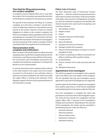### **Time limit for filing and processing of a conduct complaint**

A complaint must be lodged within one (1) year after the incident. The Commission may extend the time limit for the filing of a complaint if circumstances so warrant.

The period of time between the filing of a conduct complaint up to the time a member is served with a notice of settlement conference, if warranted, must not exceed six (6) months. However, if there are criminal allegations in relation to the conduct complaint, the *Police Act* investigation will be suspended until all criminal proceedings are concluded. The Commission will then authorize the resumption of the *Police Act* investigation and the processing of the conduct complaint shall be concluded within the required six (6) month period.

### **Characterization of the complaint and notifications**

When members of the public believe an officer has acted improperly, they may file their complaint directly with the Commission, and if they provide sufficient information, the Commission will immediately characterize the complaint and notify the complainant in writing of the decision on the characterization.

In normal circumstances the complaint will be referred to the chief of police in the region where the incident occurred or to the board or civic authority, where a board has not been established. The chief must notify the subject officer in writing of the substance of the allegation against him/her and the potential breach of the Code that is involved.

### **Police** *Code of Conduct*

The New Brunswick *Code of Professional Conduct Regulation — Police Act*, outlines the general provisions with respect to police misconduct. Under the principles of discipline and correction, the Regulation articulates not only the arbitration procedures but identifies the thirteen breaches that could result in disciplinary and corrective measures:

- **1.** Discreditable conduct
- **2.** Neglect of duty
- **3.** Deceit
- **4.** Improper disclosure of information
- **5.** Corrupt practice
- **6.** Abuse of authority
- **7.** Improper use and care of firearms
- **8.** Damage to police force property
- **9.** Misuse of intoxicating liquor or drugs in a manner prejudicial to duty
- **10.** Conduct constituting an offence (convicted of an offence rendering unfit to perform duties)
- **11.** Insubordination
- **12.** Party to a breach of the Code (accessory after the fact)
- **13.** Workplace harassment

### **Appointment of an investigator**

The chief must appoint an investigator with a superior rank to the officer who is the subject of the complaint. The Act stipulates that only one investigator may be appointed to ascertain if the allegations are supported.

Another option for the chief is to appoint an investigator from another police force or from the list established and maintained by the Commission under the *Police Act*.

Once the investigation is complete the chief must provide the Commission with a full investigation report. The chief will also provide the complainant and the subject officer with a "summary of the investigator's findings and conclusions". Depending on the outcome of the investigation, the matter may be concluded in the following manner under the *Police Act*:

- Summary dismissal
- Informal resolution
- Take no further action
- Settlement Conference
- **Arbitration Hearing**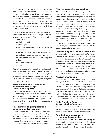The Commission must exercise its statutory oversight duties at all stages of resolution of the complaint up to and including the Settlement Conference process and this must occur within the maximum period prescribed of 6 months. Once a matter proceeds to an Arbitration Hearing, the Commission no longer has jurisdiction on the process. Nevertheless, the decision of the Arbitrator is posted on the Commission's website as those decisions are of a public nature.

If it is established that a police officer has committed a breach of the *Code of Professional Conduct*, the officer may be subject to one or more of the following disciplinary and corrective measures:

- a verbal reprimand:
- a written reprimand;
- a direction to undertake professional counselling or a treatment program;
- a direction to undertake special training or retraining;
- a direction to work under close supervision;
- a suspension without pay for a specified period of time;
- a reduction in rank: or
- dismissal.

If the officer subject of the disciplinary and corrective measures is found guilty of the misconduct alleged, the arbitrator may take into consideration past disciplinary hearings or court decisions submitted by either party as arguments with respect to an appropriate disciplinary and corrective measure.

#### **New Brunswick Police Commission assumes the processing of the conduct complaint**

If the Commission considers it to be in the public interest, and depending on the nature of the complaint, it may process a conduct complaint or take over the processing of a conduct complaint from a chief of police, a police board or a civic authority before it proceeds to an arbitration hearing.

### **False or misleading complaints and complaints made in bad faith**

These complaints are those that may lack a reasonable purpose or may be made to annoy and harass. They may be made in retribution for a police officer's legitimate interaction with an individual who is frustrated by the incident. Others may be repetitive complaints made after previous similar complaints were screened out.

#### **What are screened-out complaints?**

Often complaints are received that clearly cannot be acted upon. These complaints are subsequently "screened-out" of the Commission's investigative process. Screened-out complaints are those that are a duplicate complaint or a repetition of a complaint previously addressed. Some are clearly outside the jurisdiction of the Commission, such as complaints against members of the RCMP and others are clearly not about police policy, service or conduct. On occasion a complaint is filed after the one year statute of limitation but may be considered if the complainant can provide a reason for the delay in filing and the seriousness of the complaint merits examination. Other complaints that are screened-out may be ones that are clearly frivolous (trivial or lacks an air of reality) or vexatious, or where attempts to initially contact the complainant produced no response.

### **Complaints against a member of the RCMP**

When a complaint concerning the conduct of a member of the Royal Canadian Mounted Police is forwarded to the Commission, the Commission will give the complainant notice that the complaint is not within its jurisdiction and refer the complaint to the Commanding Officer of the Royal Canadian Mounted Police or to the Civilian Review and Complaints Commission for the RCMP (now referred to as the Civilian Review and Complaints Commission for the Royal Canadian Mounted Police).

### *Police Act* **amendments**

Since the new complaint process came into force on January 1, 2008, it has become evident to the Commission that there is a dire need of amendments to the *Police Act* and its *Code of Professional Conduct Regulation* as we continue to identify deficiencies. Until such time as those deficiencies are corrected, they will significantly impact the budget of the Commission and our ability to carry out our oversight mandate and potentially undermine public confidence in the police discipline process.

### **Public Complaint Process — Service or Policy Complaints**

The Commission also oversees the resolution of policy and service complaints which are dealt with by the civic authority, police board or the local chief of police.

### **Time limit for processing of a service or policy complaint**

Currently there is no time limit for the processing of a service or policy complaint. Nevertheless, the Commission adheres to the same time lines as when it processes a "conduct" complaint which is within six (6) months.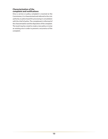### **Characterization of the complaint and notifications**

Once a service or policy complaint is received at the Commission, it is characterized and referred to the civic authority or police board for processing in consultation with the chief of police. The complainant is informed of the characterization and the disposition of the complaint. The result may be a need to create a new policy or revise an existing one in order to prevent a recurrence of the complaint.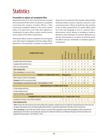### <span id="page-14-0"></span>**Statistics**

### **Preamble to tables of complaint files**

During fiscal year 2014–2015, the Commission received and monitored 60 files which consisted of complaints concerning the conduct of police officers, 2 files concerning complaints relative to the service and/or policy of a police force and 3 files that related to a combination of police officer conduct and the service and/or policy of the officer's police force.

Of the police officer conduct complaints, the vast majority were with respect to allegations that the subject officer abused his or her authority. A member of a police force

abuses his or her authority if the member without lawful authority, detains, arrests or searches a person or uses unnecessary force. Abuse of authority also pertains to the on duty comportment of a police officer when he or she uses language or acts in a manner that is discourteous, uncivil, abusive or insulting or tends to demean or show disrespect to a person. Behaviour can also be characterized as an abuse of authority when the officer harasses, intimidates or retaliates against a complainant.

| <b>COMPLAINT FILES</b>                                                                                                                                                                                                                                                                           | Bathurst       | <b>BNPP Regional</b> | Edmundston     | Fredericton | Grand Falls  | Kennebecasis Regional | Miramichi      | Saint John     | Woodstock    | Other disposition | <b>TOTAL</b>   |
|--------------------------------------------------------------------------------------------------------------------------------------------------------------------------------------------------------------------------------------------------------------------------------------------------|----------------|----------------------|----------------|-------------|--------------|-----------------------|----------------|----------------|--------------|-------------------|----------------|
| <b>Complaints filed with Commission</b>                                                                                                                                                                                                                                                          | 4              | 1                    | $\overline{2}$ | 5           | $\mathbf{0}$ | $\theta$              | $\overline{3}$ | $\overline{2}$ | $\mathbf{0}$ |                   | 17             |
| <b>Complaints filed with Police Force</b>                                                                                                                                                                                                                                                        | $\overline{2}$ | $\overline{2}$       | 3              | 11          | 0            | 1                     | 0              | 11             | $\mathbf{0}$ |                   | 30             |
| Other (see narrative below)                                                                                                                                                                                                                                                                      | $\mathbf{0}$   | $\theta$             | 0              | $\theta$    | $\mathbf{0}$ | $\theta$              | $\mathbf{0}$   | $\theta$       | $\mathbf 0$  | 13                | 13             |
| <b>Total complaint files</b>                                                                                                                                                                                                                                                                     | 6              | 3                    | 5              | 16          | $\mathbf{0}$ | $\mathbf{1}$          | $\overline{3}$ | 13             | $\bf{0}$     | 13                | 60             |
| Files outstanding (see narrative below)                                                                                                                                                                                                                                                          | 2              | 0                    | $\overline{2}$ | 7           | $\mathbf{0}$ | 1                     | 1              | $\overline{2}$ | $\theta$     |                   | 15             |
| <b>CONDUCT COMPLAINT FILES - Allegations</b>                                                                                                                                                                                                                                                     |                |                      |                |             |              |                       |                |                |              |                   |                |
| Officers subject to Police Act investigation                                                                                                                                                                                                                                                     | 6              | 1                    | 6              | 20          | 0            | 1                     | 4              | 18             | 0            |                   | 56             |
| Allegations from files concerning conduct                                                                                                                                                                                                                                                        | 5              | 2                    | 5              | 13          | 0            | $\theta$              | 3              | 29             | $\theta$     |                   | 57             |
| Total allegations received between April 1, 2014 and March 31, 2015                                                                                                                                                                                                                              | 5              | $\overline{2}$       | 5              | 13          | $\bf{0}$     | $\mathbf{0}$          | $\overline{3}$ | 29             | $\mathbf{0}$ |                   | 57             |
| <b>SERVICE/POLICY COMPLAINT FILES</b>                                                                                                                                                                                                                                                            |                |                      |                |             |              |                       |                |                |              |                   |                |
| # of files dealing with Policy                                                                                                                                                                                                                                                                   | 0              | 0                    | 0              | 0           | 0            | 0                     | 0              | 0              | $\mathbf{0}$ |                   | 0              |
| # of files dealing of Service                                                                                                                                                                                                                                                                    | 0              | $\theta$             | 0              | 0           | $\mathbf{0}$ | $\theta$              | $\mathbf{0}$   | $\overline{2}$ | 0            |                   | $\overline{2}$ |
| <b>Total Service/Policy complaint files</b>                                                                                                                                                                                                                                                      |                |                      |                |             |              |                       |                |                |              |                   | $\overline{2}$ |
| <b>COMBINATION CONDUCT AND SERVICE/POLICY COMPLAINT FILES</b>                                                                                                                                                                                                                                    |                |                      |                |             |              |                       |                |                |              |                   |                |
| <b>Combination of Conduct, Service/Policy Complaints</b>                                                                                                                                                                                                                                         | 0              | 0                    | 0              | 2           | 0            | $\mathbf{0}$          | 0              | 1              | $\mathbf{0}$ |                   | 3              |
| <b>Total Combination files</b>                                                                                                                                                                                                                                                                   |                |                      |                |             |              |                       |                |                |              |                   | $\overline{3}$ |
| "Other" denotes files that exceeds the time limit for filing of the complaint, complaints that are not within the enumerated breaches of the Code, that<br>are against other agencies such as the Royal Canadian Mounted Police, or government departments. These files are thus "screened out". |                |                      |                |             |              |                       |                |                |              |                   |                |
| "Files outstanding" are part of the total of 60 files. However, some were either awaiting the results of the investigation in order to determine the                                                                                                                                             |                |                      |                |             |              |                       |                |                |              |                   |                |

alleged breaches of the Code or were awaiting the conclusion of a Settlement Conference or an Arbitration Hearing at the time the statistics were prepared for fiscal year April 1, 2014 to March 31, 2015.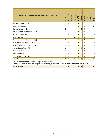| <b>CONDUCT COMPLAINTS - Breaches of the Code</b>                                                                                                                                                                                   | Bathurst       | <b>BNPP Regional</b> | Edmundston     | Fredericton  | Grand Falls | Kennebecasis Regional | Miramichi | Saint John | Woodstock | <b>TOTAL</b>   |
|------------------------------------------------------------------------------------------------------------------------------------------------------------------------------------------------------------------------------------|----------------|----------------------|----------------|--------------|-------------|-----------------------|-----------|------------|-----------|----------------|
| Discreditable conduct - 35(a)                                                                                                                                                                                                      | 0              | $\mathbf{0}$         | 1              | 1            | 0           | $\mathbf{0}$          | 1         | 4          | 0         | $\overline{7}$ |
| Neglect of duty - 35(b)                                                                                                                                                                                                            | $\overline{2}$ | 1                    | 0              | 2            | 0           | 0                     | 0         | 8          | 0         | 13             |
| Deceitful behavior - 35(c)                                                                                                                                                                                                         | $\overline{2}$ | $\mathbf{0}$         | 0              | 0            | 0           | 0                     | 0         | 1          | 0         | 3              |
| Improper disclosure of information - 35(d)                                                                                                                                                                                         | 0              | 1                    | 0              | $\mathbf{0}$ | 0           | 0                     | 0         | 0          | 0         | 1              |
| Corrupt practice - 35(e)                                                                                                                                                                                                           | 0              | 0                    | 0              | $\theta$     | 0           | 0                     | 0         | 0          | 0         | $\bf{0}$       |
| Abuse of authority - 35(f)                                                                                                                                                                                                         | 1              | $\mathbf{0}$         | 4              | 10           | 0           | 0                     | 2         | 8          | 0         | 25             |
| Improper use and care of firearms - 35(g)                                                                                                                                                                                          | 0              | 0                    | 0              | $\theta$     | 0           | 0                     | 0         | 0          | 0         | 0              |
| Damage police force property - 35(h)                                                                                                                                                                                               | 0              | $\Omega$             | 0              | $\theta$     | 0           | 0                     | 0         | 0          | 0         | 0              |
| Misuse intoxicating liquor or drugs - 35(i)                                                                                                                                                                                        | $\mathbf{0}$   | $\mathbf{0}$         | 0              | $\mathbf{0}$ | 0           | 0                     | 0         | 0          | 0         | $\bf{0}$       |
| Convicted of an offence $-35(j)$                                                                                                                                                                                                   | 0              | $\Omega$             | $\mathbf{0}$   | $\mathbf{0}$ | 0           | 0                     | 0         | 0          | 0         | 0              |
| Insubordinate behavior - 35(k)                                                                                                                                                                                                     | 0              | $\mathbf{0}$         | 0              | $\mathbf{0}$ | 0           | 0                     | 0         | 2          | 0         | $\overline{2}$ |
| Party to a breach - 35(I)                                                                                                                                                                                                          | $\theta$       | $\Omega$             | 0              | $\theta$     | 0           | 0                     | 0         | 0          | 0         | 0              |
| Workplace harassment - 35(m)                                                                                                                                                                                                       | 0              | $\mathbf{0}$         | 0              | $\theta$     | 0           | 0                     | 0         | 6          | 0         | 6              |
| <b>Total allegations</b>                                                                                                                                                                                                           | 5              | $\overline{2}$       | 5              | 13           | 0           | $\bf{0}$              | 3         | 29         | 0         | 57             |
| Note: Of the 60 complaint files, there were 57 alleged breaches of the Code.<br>Fifteen (15) files are outstanding and awaiting the results of the investigation in order to determine the number of alleged breaches of the Code. |                |                      |                |              |             |                       |           |            |           |                |
| <b>Files outstanding</b>                                                                                                                                                                                                           | 2              | 0                    | $\overline{2}$ | 7            | 0           |                       |           | 2          | 0         | 15             |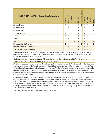| <b>CONDUCT COMPLAINTS - Disposition of allegations</b> | <b>Bathurst</b> | <b>BNPP Regional</b> | Edmundston   | Fredericton  | Grand Falls  | Kennebecasis Regional | Miramichi    | Saint John   | Woodstock    | <b>TOTAL</b>   |
|--------------------------------------------------------|-----------------|----------------------|--------------|--------------|--------------|-----------------------|--------------|--------------|--------------|----------------|
| Summary dismissal                                      | 1               | 0                    | 1            | 3            | 0            | 0                     |              | 7            | $\mathbf{0}$ | 13             |
| Informal resolution                                    |                 | 0                    | 0            | 3            | 0            | 0                     | 0            | 4            | 0            | 8              |
| No further action                                      | 3               | 1                    | 3            | 7            | 0            | 0                     | 2            | 7            | $\mathbf{0}$ | 23             |
| Settlement Conference                                  | 0               | 1                    |              | $\mathbf{0}$ | 0            | 0                     | 0            |              | $\theta$     | 9              |
| <b>Arbitration Hearing</b>                             | $\mathbf{0}$    | 0                    | 0            | $\mathbf{0}$ | 0            | 0                     | $1*$         | $\Omega$     | $\mathbf{0}$ | 1              |
| Withdrawn                                              | 0               | 0                    | 0            | $\Omega$     | $\theta$     | 0                     | 0            | 4            | $\theta$     | $\overline{4}$ |
| <b>Total</b>                                           | 5               | $\overline{2}$       | 5            | 13           | 0            | 0                     | 4            | 29           | $\bf{0}$     | 58             |
| Files outstanding this fiscal year                     | 2               | 0                    | 2            | 7            | 0            | 1                     |              | 2            | 0            | 15             |
| Settlement Conference - Pending previous               | $\mathbf{1}$    | $\mathbf{0}$         | $\mathbf{0}$ | 1            | $\mathbf{0}$ | 0                     | $\mathbf{0}$ | $\mathbf{0}$ | $\mathbf{0}$ | $\overline{2}$ |
| Arbitration Hearing - Pending previous                 | $\mathbf{0}$    | 1                    | $\mathbf{0}$ | $\mathbf{1}$ | $\theta$     | $\mathbf{0}$          | 0            | $\theta$     |              | 3              |

"**Files outstanding**" are part of the total of 60 files. However, some were either awaiting the results of the investigation in order to determine the alleged breaches of the Code or were awaiting the conclusion of a Settlement Conference or an Arbitration Hearing at the time the statistics were prepared for fiscal year April 1, 2014 to March 31, 2015.

"**Settlement Conference — Pending previous**" and "**Arbitration Hearing — Pending previous**" are complaint files which were either started this year or in previous fiscal years and not concluded by the time the statistics were prepared.

A "**settlement conference**" is an opportunity for an officer who is alleged to have breached a section of the Code to respond to the alleged breach and to reach an agreement with the Chief or the Commission concerning disciplinary and corrective measures. This fiscal year there were three (3) officers who attended a settlement conference for breaching a total of nine sections of the *Code of Professional Conduct* whereby they engaged in discreditable conduct, improperly disclosed information, neglected their duties and engaged in insubordination. The disciplinary and corrective measures for those breaches consisted of written reprimands, an order to follow a "Note Taking Course", the issuance of an apology to the Chief of Police; and the issuance of an apology to the officer's Supervisor.

An "**arbitration hearing**" is when an officer has breached the *Code of Professional Conduct* and either did not present himself/herself to a Settlement Conference or when the Chief and the officer failed to reach an agreement on suitable disciplinary or corrective measures within a reasonable period of time. The subject officer is then served with a Notice of Arbitration Hearing. The subject officer then appears before an Arbitrator and if the Arbitrator finds, on a balance of probability, that the subject officer is guilty of a breach of the Code, the arbitrator may impose any disciplinary or corrective measure prescribed by regulation. For past and present decisions, please refer to our website at the following link: http://www.nbpolicecommission. ca/site/en/decisions/arbitration-hearings.

\* This Arbitration stems from a complaint filed in the 2013-2014 reporting year.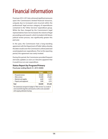## <span id="page-17-0"></span>Financial information

Fiscal year 2014–2015 also witnessed significant pressures upon the Commission's limited financial resources, uniquely due to increased costs incurred within the professional/ legal services category of expenditures contained in the "Other Services" expenditure group. While the fees charged by the Commission's legal representatives have not increased, the volume of legal proceedings and research, which included a full-blown judicial review process, was significantly greater this past year.

In the past, the Commission had a long-standing agreement with the Department of Public Safety whereby the latter would cover the Commission's unforecasted and unanticipated over-expenditures. Prior to this reporting period, this agreement was rarely invoked.

During this period, the Commission provided frequent and early updates as soon as it became apparent that it would incur an over-expenditure.

### **Status Report by Program/Primary**

**Fiscal year ending March 31, 2015 (\$000)**

|                                                                                                                                                                                        | <b>Budget</b> | <b>Actuals</b> |  |  |  |  |  |  |
|----------------------------------------------------------------------------------------------------------------------------------------------------------------------------------------|---------------|----------------|--|--|--|--|--|--|
| - Personnel services                                                                                                                                                                   | 245,600       | 220,137        |  |  |  |  |  |  |
| - Other services                                                                                                                                                                       | 102,800       | 210,603        |  |  |  |  |  |  |
| - Materials and supplies                                                                                                                                                               | 6,600         | 6,355          |  |  |  |  |  |  |
| - Property and equipment                                                                                                                                                               | 5,000         | 4,553          |  |  |  |  |  |  |
| <b>Total</b>                                                                                                                                                                           | 360,000       | 441,648        |  |  |  |  |  |  |
| The Commission overspent its budget in "Other Services" as a result of<br>costs incurred for legal fees and research as well as costs associated<br>with ongoing arbitration hearings. |               |                |  |  |  |  |  |  |